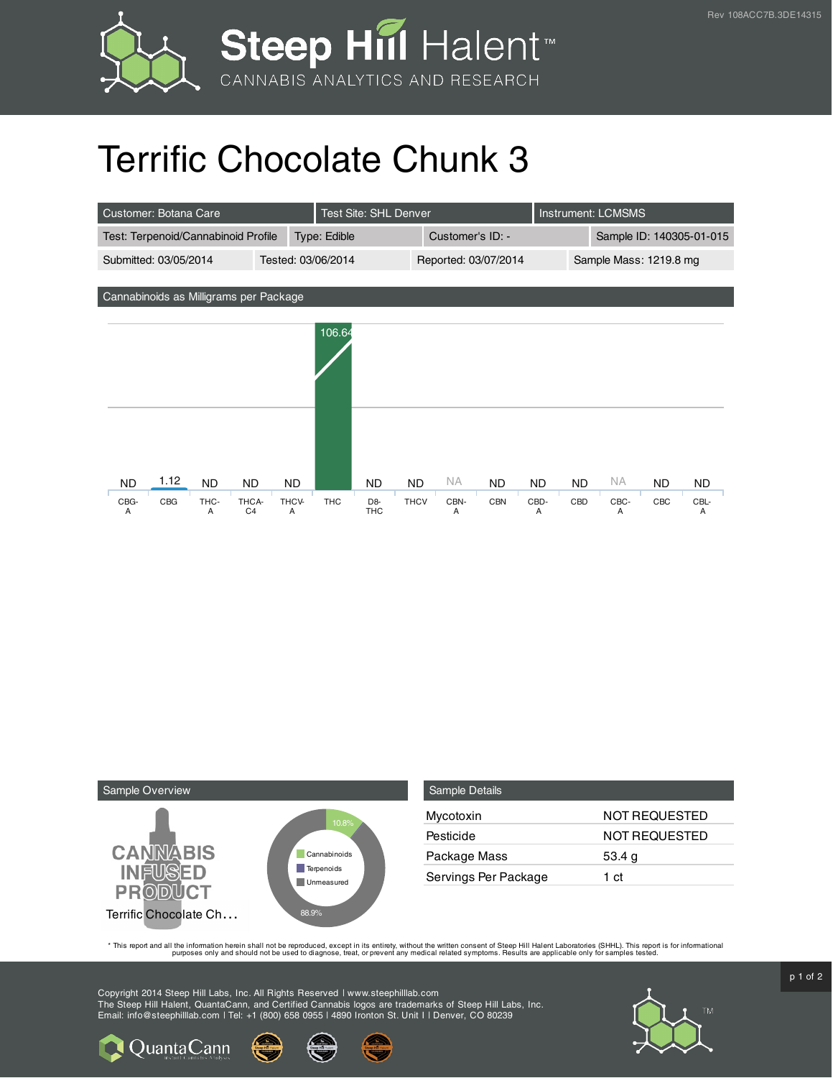

## Terrific Chocolate Chunk 3

| Customer: Botana Care                       |      |           |                         |              | <b>Test Site: SHL Denver</b> |                              |                      |           |            |                        | <b>Instrument: LCMSMS</b> |           |                          |           |
|---------------------------------------------|------|-----------|-------------------------|--------------|------------------------------|------------------------------|----------------------|-----------|------------|------------------------|---------------------------|-----------|--------------------------|-----------|
| Test: Terpenoid/Cannabinoid Profile         |      |           |                         | Type: Edible |                              |                              | Customer's ID: -     |           |            |                        |                           |           | Sample ID: 140305-01-015 |           |
| Submitted: 03/05/2014<br>Tested: 03/06/2014 |      |           |                         |              |                              |                              | Reported: 03/07/2014 |           |            | Sample Mass: 1219.8 mg |                           |           |                          |           |
|                                             |      |           |                         |              |                              |                              |                      |           |            |                        |                           |           |                          |           |
| Cannabinoids as Milligrams per Package      |      |           |                         |              |                              |                              |                      |           |            |                        |                           |           |                          |           |
|                                             |      |           |                         |              | 106.64                       |                              |                      |           |            |                        |                           |           |                          |           |
|                                             |      |           |                         |              |                              |                              |                      |           |            |                        |                           |           |                          |           |
| <b>ND</b>                                   | 1.12 | <b>ND</b> | <b>ND</b>               | <b>ND</b>    |                              | ND                           | <b>ND</b>            | <b>NA</b> | <b>ND</b>  | <b>ND</b>              | <b>ND</b>                 | <b>NA</b> | <b>ND</b>                | <b>ND</b> |
| CBG-<br>A                                   | CBG  | THC-<br>A | THCA-<br>C <sub>4</sub> | THCV-<br>A   | <b>THC</b>                   | D <sub>8</sub><br><b>THC</b> | <b>THCV</b>          | CBN-<br>A | <b>CBN</b> | CBD-<br>A              | CBD                       | CBC-<br>A | CBC                      | CBL-<br>Α |



**Q** Quanta Cann

| <b>Sample Details</b> |                      |
|-----------------------|----------------------|
| Mycotoxin             | <b>NOT REQUESTED</b> |
| Pesticide             | NOT REQUESTED        |
| Package Mass          | 53.4 $g$             |
| Servings Per Package  | 1 ct                 |

This report and all the information herein shall not be reporduced, except in its entirety, without the written consent of Steep Hill Halent Laboratories (SHHL). This report is for informational all the instance, treat, or

Copyright 2014 Steep Hill Labs, Inc. All Rights Reserved | www.steephilllab.com The Steep Hill Halent, QuantaCann, and Certified Cannabis logos are trademarks of Steep Hill Labs, Inc. Email: info@steephilllab.com | Tel: +1 (800) 658 0955 | 4890 Ironton St. Unit I | Denver, CO 80239



p 1 of 2